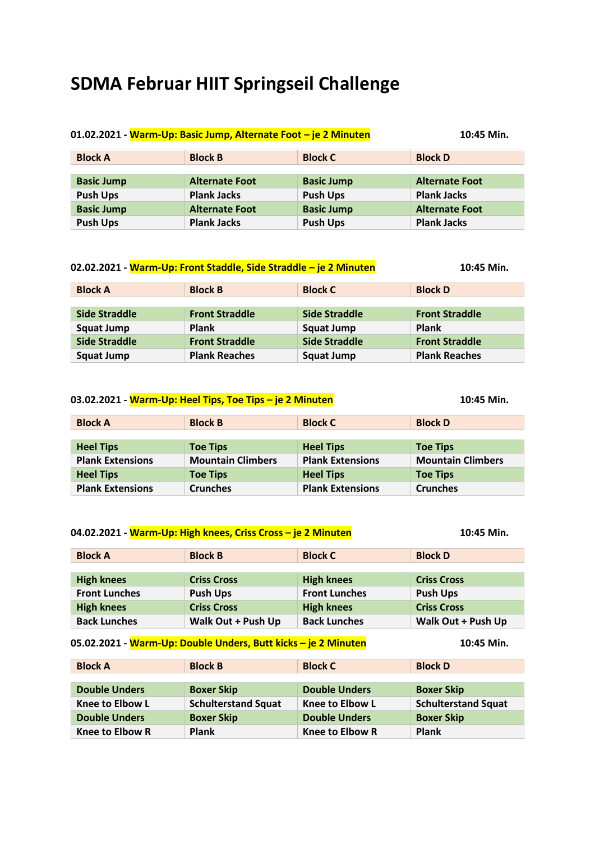# **SDMA Februar HIIT Springseil Challenge**

| 01.02.2021 - Warm-Up: Basic Jump, Alternate Foot - je 2 Minuten |                       |                   | 10:45 Min.            |
|-----------------------------------------------------------------|-----------------------|-------------------|-----------------------|
| <b>Block A</b>                                                  | <b>Block B</b>        | <b>Block C</b>    | <b>Block D</b>        |
|                                                                 |                       |                   |                       |
| <b>Basic Jump</b>                                               | <b>Alternate Foot</b> | <b>Basic Jump</b> | <b>Alternate Foot</b> |
| <b>Push Ups</b>                                                 | <b>Plank Jacks</b>    | <b>Push Ups</b>   | <b>Plank Jacks</b>    |
| <b>Basic Jump</b>                                               | <b>Alternate Foot</b> | <b>Basic Jump</b> | <b>Alternate Foot</b> |
| <b>Push Ups</b>                                                 | <b>Plank Jacks</b>    | <b>Push Ups</b>   | <b>Plank Jacks</b>    |

| 02.02.2021 - Warm-Up: Front Staddle, Side Straddle - je 2 Minuten |                       |                   | 10:45 Min.            |
|-------------------------------------------------------------------|-----------------------|-------------------|-----------------------|
| <b>Block A</b>                                                    | <b>Block B</b>        | <b>Block C</b>    | <b>Block D</b>        |
|                                                                   |                       |                   |                       |
| Side Straddle                                                     | <b>Front Straddle</b> | Side Straddle     | <b>Front Straddle</b> |
| <b>Squat Jump</b>                                                 | <b>Plank</b>          | <b>Squat Jump</b> | <b>Plank</b>          |
| <b>Side Straddle</b>                                              | <b>Front Straddle</b> | Side Straddle     | <b>Front Straddle</b> |
| <b>Squat Jump</b>                                                 | <b>Plank Reaches</b>  | <b>Squat Jump</b> | <b>Plank Reaches</b>  |

| 03.02.2021 - Warm-Up: Heel Tips, Toe Tips – je 2 Minuten |                          |                         | 10:45 Min.               |
|----------------------------------------------------------|--------------------------|-------------------------|--------------------------|
| <b>Block A</b>                                           | <b>Block B</b>           | <b>Block C</b>          | <b>Block D</b>           |
|                                                          |                          |                         |                          |
| <b>Heel Tips</b>                                         | <b>Toe Tips</b>          | <b>Heel Tips</b>        | <b>Toe Tips</b>          |
| <b>Plank Extensions</b>                                  | <b>Mountain Climbers</b> | <b>Plank Extensions</b> | <b>Mountain Climbers</b> |
| <b>Heel Tips</b>                                         | <b>Toe Tips</b>          | <b>Heel Tips</b>        | <b>Toe Tips</b>          |
| <b>Plank Extensions</b>                                  | <b>Crunches</b>          | <b>Plank Extensions</b> | <b>Crunches</b>          |

| <b>Block A</b>       | <b>Block B</b>     | <b>Block C</b>       | <b>Block D</b>     |
|----------------------|--------------------|----------------------|--------------------|
|                      |                    |                      |                    |
| <b>High knees</b>    | <b>Criss Cross</b> | <b>High knees</b>    | <b>Criss Cross</b> |
| <b>Front Lunches</b> | <b>Push Ups</b>    | <b>Front Lunches</b> | <b>Push Ups</b>    |
| <b>High knees</b>    | <b>Criss Cross</b> | <b>High knees</b>    | <b>Criss Cross</b> |
| <b>Back Lunches</b>  | Walk Out + Push Up | <b>Back Lunches</b>  | Walk Out + Push Up |

| <b>Block A</b>       | <b>Block B</b>             | <b>Block C</b>       | <b>Block D</b>             |
|----------------------|----------------------------|----------------------|----------------------------|
|                      |                            |                      |                            |
| <b>Double Unders</b> | <b>Boxer Skip</b>          | <b>Double Unders</b> | <b>Boxer Skip</b>          |
| Knee to Elbow L      | <b>Schulterstand Squat</b> | Knee to Elbow L      | <b>Schulterstand Squat</b> |
| <b>Double Unders</b> | <b>Boxer Skip</b>          | <b>Double Unders</b> | <b>Boxer Skip</b>          |
| Knee to Elbow R      | Plank                      | Knee to Elbow R      | <b>Plank</b>               |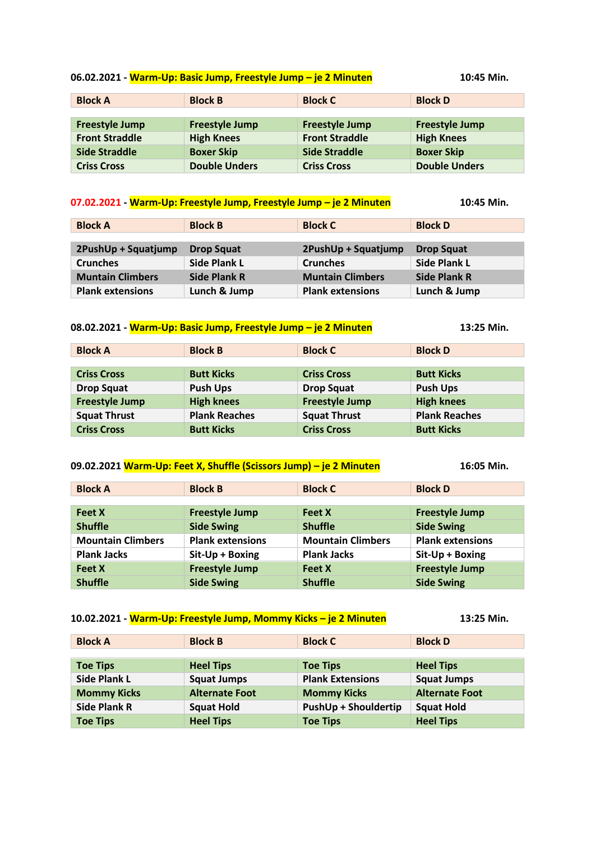#### **06.02.2021 - Warm-Up: Basic Jump, Freestyle Jump – je 2 Minuten 10:45 Min.**

| 10:45 Min. |  |
|------------|--|
|------------|--|

| <b>Block A</b>        | <b>Block B</b>        | <b>Block C</b>        | <b>Block D</b>        |
|-----------------------|-----------------------|-----------------------|-----------------------|
|                       |                       |                       |                       |
| <b>Freestyle Jump</b> | <b>Freestyle Jump</b> | <b>Freestyle Jump</b> | <b>Freestyle Jump</b> |
| <b>Front Straddle</b> | <b>High Knees</b>     | <b>Front Straddle</b> | <b>High Knees</b>     |
| <b>Side Straddle</b>  | <b>Boxer Skip</b>     | <b>Side Straddle</b>  | <b>Boxer Skip</b>     |
| <b>Criss Cross</b>    | <b>Double Unders</b>  | <b>Criss Cross</b>    | <b>Double Unders</b>  |

#### **07.02.2021 - Warm-Up: Freestyle Jump, Freestyle Jump – je 2 Minuten 10:45 Min.**

| <b>Block A</b>          | <b>Block B</b>      | <b>Block C</b>          | <b>Block D</b>      |
|-------------------------|---------------------|-------------------------|---------------------|
|                         |                     |                         |                     |
| 2PushUp + Squatjump     | <b>Drop Squat</b>   | 2PushUp + Squatjump     | <b>Drop Squat</b>   |
| <b>Crunches</b>         | <b>Side Plank L</b> | <b>Crunches</b>         | <b>Side Plank L</b> |
| <b>Muntain Climbers</b> | <b>Side Plank R</b> | <b>Muntain Climbers</b> | <b>Side Plank R</b> |
| <b>Plank extensions</b> | Lunch & Jump        | <b>Plank extensions</b> | Lunch & Jump        |

### **08.02.2021 - Warm-Up: Basic Jump, Freestyle Jump – je 2 Minuten 13:25 Min.**

**Block A Block B Block C Block D Criss Cross Butt Kicks Criss Cross Butt Kicks Drop Squat Push Ups Drop Squat Push Ups Freestyle Jump High knees Freestyle Jump High knees Squat Thrust Plank Reaches Squat Thrust Plank Reaches Criss Cross Butt Kicks Criss Cross Butt Kicks**

#### **09.02.2021 Warm-Up: Feet X, Shuffle (Scissors Jump) – je 2 Minuten 16:05 Min.**

| <b>Block A</b>           | <b>Block B</b>          | <b>Block C</b>           | <b>Block D</b>          |
|--------------------------|-------------------------|--------------------------|-------------------------|
|                          |                         |                          |                         |
| <b>Feet X</b>            | <b>Freestyle Jump</b>   | <b>Feet X</b>            | <b>Freestyle Jump</b>   |
| <b>Shuffle</b>           | <b>Side Swing</b>       | <b>Shuffle</b>           | <b>Side Swing</b>       |
| <b>Mountain Climbers</b> | <b>Plank extensions</b> | <b>Mountain Climbers</b> | <b>Plank extensions</b> |
| <b>Plank Jacks</b>       | Sit-Up + Boxing         | <b>Plank Jacks</b>       | Sit-Up + Boxing         |
| <b>Feet X</b>            | <b>Freestyle Jump</b>   | <b>Feet X</b>            | <b>Freestyle Jump</b>   |
| <b>Shuffle</b>           | <b>Side Swing</b>       | <b>Shuffle</b>           | <b>Side Swing</b>       |

| 10.02.2021 - Warm-Up: Freestyle Jump, Mommy Kicks - je 2 Minuten |                       | 13:25 Min.                  |                       |
|------------------------------------------------------------------|-----------------------|-----------------------------|-----------------------|
| <b>Block A</b>                                                   | <b>Block B</b>        | <b>Block C</b>              | <b>Block D</b>        |
|                                                                  |                       |                             |                       |
| <b>Toe Tips</b>                                                  | <b>Heel Tips</b>      | <b>Toe Tips</b>             | <b>Heel Tips</b>      |
| <b>Side Plank L</b>                                              | <b>Squat Jumps</b>    | <b>Plank Extensions</b>     | <b>Squat Jumps</b>    |
| <b>Mommy Kicks</b>                                               | <b>Alternate Foot</b> | <b>Mommy Kicks</b>          | <b>Alternate Foot</b> |
| <b>Side Plank R</b>                                              | <b>Squat Hold</b>     | <b>PushUp + Shouldertip</b> | <b>Squat Hold</b>     |

**Toe Tips Heel Tips Toe Tips Heel Tips**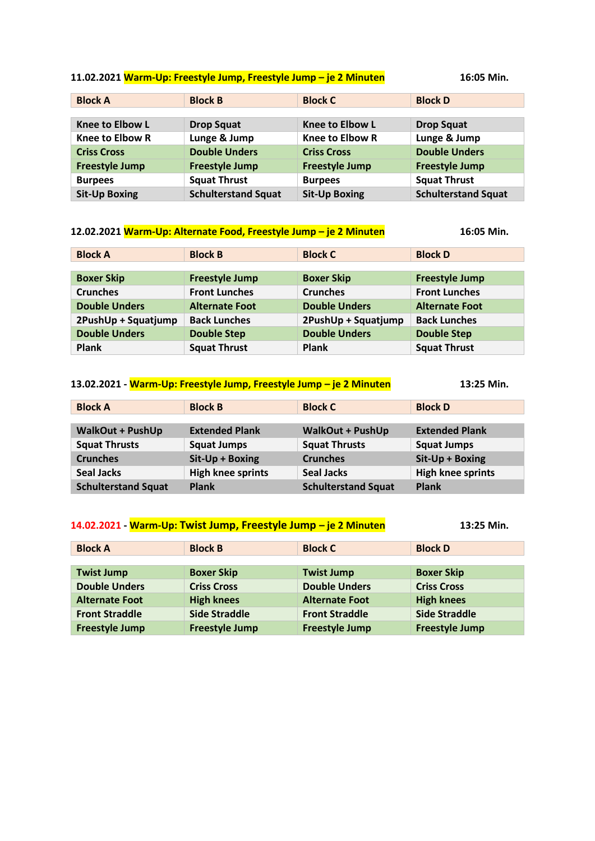### **11.02.2021 Warm-Up: Freestyle Jump, Freestyle Jump – je 2 Minuten 16:05 Min.**

| <b>Block A</b>         | <b>Block B</b>             | <b>Block C</b>         | <b>Block D</b>             |
|------------------------|----------------------------|------------------------|----------------------------|
|                        |                            |                        |                            |
| <b>Knee to Elbow L</b> | <b>Drop Squat</b>          | <b>Knee to Elbow L</b> | <b>Drop Squat</b>          |
| <b>Knee to Elbow R</b> | Lunge & Jump               | <b>Knee to Elbow R</b> | Lunge & Jump               |
| <b>Criss Cross</b>     | <b>Double Unders</b>       | <b>Criss Cross</b>     | <b>Double Unders</b>       |
| <b>Freestyle Jump</b>  | <b>Freestyle Jump</b>      | <b>Freestyle Jump</b>  | <b>Freestyle Jump</b>      |
| <b>Burpees</b>         | <b>Squat Thrust</b>        | <b>Burpees</b>         | <b>Squat Thrust</b>        |
| <b>Sit-Up Boxing</b>   | <b>Schulterstand Squat</b> | <b>Sit-Up Boxing</b>   | <b>Schulterstand Squat</b> |

| 12.02.2021 Warm-Up: Alternate Food, Freestyle Jump - je 2 Minuten | 16:05 Min.            |                      |                       |
|-------------------------------------------------------------------|-----------------------|----------------------|-----------------------|
| <b>Block A</b>                                                    | <b>Block B</b>        | <b>Block C</b>       | <b>Block D</b>        |
|                                                                   |                       |                      |                       |
| <b>Boxer Skip</b>                                                 | <b>Freestyle Jump</b> | <b>Boxer Skip</b>    | <b>Freestyle Jump</b> |
| <b>Crunches</b>                                                   | <b>Front Lunches</b>  | <b>Crunches</b>      | <b>Front Lunches</b>  |
| <b>Double Unders</b>                                              | <b>Alternate Foot</b> | <b>Double Unders</b> | <b>Alternate Foot</b> |
| 2PushUp + Squatjump                                               | <b>Back Lunches</b>   | 2PushUp + Squatjump  | <b>Back Lunches</b>   |
| <b>Double Unders</b>                                              | <b>Double Step</b>    | <b>Double Unders</b> | <b>Double Step</b>    |
| <b>Plank</b>                                                      | <b>Squat Thrust</b>   | <b>Plank</b>         | <b>Squat Thrust</b>   |

| 13.02.2021 - Warm-Up: Freestyle Jump, Freestyle Jump - je 2 Minuten |                          |                            | 13:25 Min.               |
|---------------------------------------------------------------------|--------------------------|----------------------------|--------------------------|
| <b>Block A</b>                                                      | <b>Block B</b>           | <b>Block C</b>             | <b>Block D</b>           |
|                                                                     |                          |                            |                          |
| <b>WalkOut + PushUp</b>                                             | <b>Extended Plank</b>    | <b>WalkOut + PushUp</b>    | <b>Extended Plank</b>    |
| <b>Squat Thrusts</b>                                                | <b>Squat Jumps</b>       | <b>Squat Thrusts</b>       | <b>Squat Jumps</b>       |
| <b>Crunches</b>                                                     | Sit-Up + Boxing          | <b>Crunches</b>            | Sit-Up + Boxing          |
| <b>Seal Jacks</b>                                                   | <b>High knee sprints</b> | <b>Seal Jacks</b>          | <b>High knee sprints</b> |
| <b>Schulterstand Squat</b>                                          | <b>Plank</b>             | <b>Schulterstand Squat</b> | <b>Plank</b>             |

# **14.02.2021 - Warm-Up: Twist Jump, Freestyle Jump – je 2 Minuten 13:25 Min.**

| <b>Block A</b>        | <b>Block B</b>        | <b>Block C</b>        | <b>Block D</b>        |
|-----------------------|-----------------------|-----------------------|-----------------------|
|                       |                       |                       |                       |
| <b>Twist Jump</b>     | <b>Boxer Skip</b>     | <b>Twist Jump</b>     | <b>Boxer Skip</b>     |
| <b>Double Unders</b>  | <b>Criss Cross</b>    | <b>Double Unders</b>  | <b>Criss Cross</b>    |
| <b>Alternate Foot</b> | <b>High knees</b>     | <b>Alternate Foot</b> | <b>High knees</b>     |
| <b>Front Straddle</b> | <b>Side Straddle</b>  | <b>Front Straddle</b> | <b>Side Straddle</b>  |
| <b>Freestyle Jump</b> | <b>Freestyle Jump</b> | <b>Freestyle Jump</b> | <b>Freestyle Jump</b> |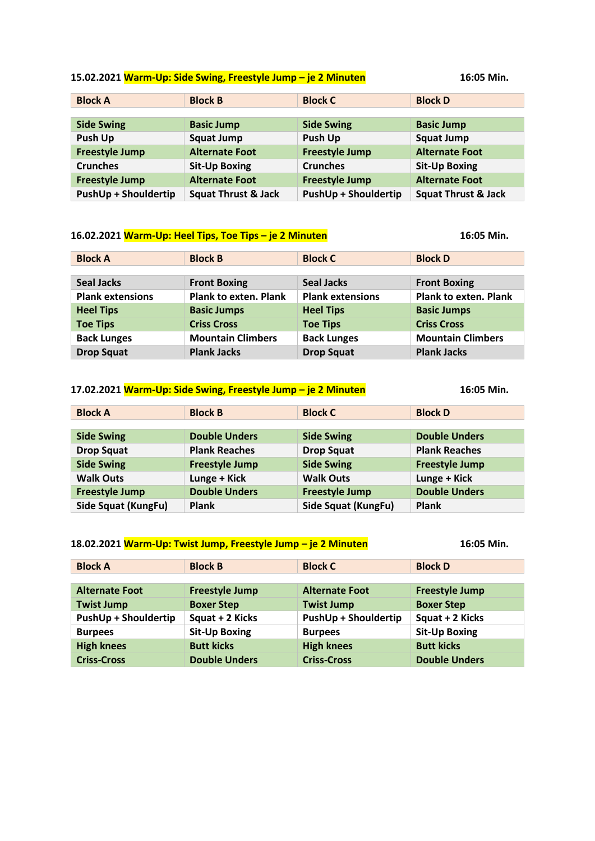# **15.02.2021 Warm-Up: Side Swing, Freestyle Jump – je 2 Minuten 16:05 Min.**

| 16:05 Min. |  |
|------------|--|
|------------|--|

| <b>Block A</b>              | <b>Block B</b>                 | <b>Block C</b>              | <b>Block D</b>                 |
|-----------------------------|--------------------------------|-----------------------------|--------------------------------|
|                             |                                |                             |                                |
| <b>Side Swing</b>           | <b>Basic Jump</b>              | <b>Side Swing</b>           | <b>Basic Jump</b>              |
| Push Up                     | <b>Squat Jump</b>              | Push Up                     | <b>Squat Jump</b>              |
| <b>Freestyle Jump</b>       | <b>Alternate Foot</b>          | <b>Freestyle Jump</b>       | <b>Alternate Foot</b>          |
| <b>Crunches</b>             | <b>Sit-Up Boxing</b>           | <b>Crunches</b>             | <b>Sit-Up Boxing</b>           |
| <b>Freestyle Jump</b>       | <b>Alternate Foot</b>          | <b>Freestyle Jump</b>       | <b>Alternate Foot</b>          |
| <b>PushUp + Shouldertip</b> | <b>Squat Thrust &amp; Jack</b> | <b>PushUp + Shouldertip</b> | <b>Squat Thrust &amp; Jack</b> |

### **16.02.2021 Warm-Up: Heel Tips, Toe Tips – je 2 Minuten 16:05 Min.**

| <b>Block A</b>          | <b>Block B</b>               | <b>Block C</b>          | <b>Block D</b>               |
|-------------------------|------------------------------|-------------------------|------------------------------|
|                         |                              |                         |                              |
| <b>Seal Jacks</b>       | <b>Front Boxing</b>          | <b>Seal Jacks</b>       | <b>Front Boxing</b>          |
| <b>Plank extensions</b> | <b>Plank to exten. Plank</b> | <b>Plank extensions</b> | <b>Plank to exten. Plank</b> |
| <b>Heel Tips</b>        | <b>Basic Jumps</b>           | <b>Heel Tips</b>        | <b>Basic Jumps</b>           |
| <b>Toe Tips</b>         | <b>Criss Cross</b>           | <b>Toe Tips</b>         | <b>Criss Cross</b>           |
| <b>Back Lunges</b>      | <b>Mountain Climbers</b>     | <b>Back Lunges</b>      | <b>Mountain Climbers</b>     |
| <b>Drop Squat</b>       | <b>Plank Jacks</b>           | <b>Drop Squat</b>       | <b>Plank Jacks</b>           |

| 17.02.2021 Warm-Up: Side Swing, Freestyle Jump - je 2 Minuten |                       |                            | 16:05 Min.            |
|---------------------------------------------------------------|-----------------------|----------------------------|-----------------------|
| <b>Block A</b>                                                | <b>Block B</b>        | <b>Block C</b>             | <b>Block D</b>        |
|                                                               |                       |                            |                       |
| <b>Side Swing</b>                                             | <b>Double Unders</b>  | <b>Side Swing</b>          | <b>Double Unders</b>  |
| <b>Drop Squat</b>                                             | <b>Plank Reaches</b>  | <b>Drop Squat</b>          | <b>Plank Reaches</b>  |
| <b>Side Swing</b>                                             | <b>Freestyle Jump</b> | <b>Side Swing</b>          | <b>Freestyle Jump</b> |
| <b>Walk Outs</b>                                              | Lunge + Kick          | <b>Walk Outs</b>           | Lunge + Kick          |
| <b>Freestyle Jump</b>                                         | <b>Double Unders</b>  | <b>Freestyle Jump</b>      | <b>Double Unders</b>  |
| Side Squat (KungFu)                                           | <b>Plank</b>          | <b>Side Squat (KungFu)</b> | <b>Plank</b>          |

| 18.02.2021 Warm-Up: Twist Jump, Freestyle Jump - je 2 Minuten | 16:05 Min.            |                             |                       |
|---------------------------------------------------------------|-----------------------|-----------------------------|-----------------------|
| <b>Block A</b>                                                | <b>Block B</b>        | <b>Block C</b>              | <b>Block D</b>        |
|                                                               |                       |                             |                       |
| <b>Alternate Foot</b>                                         | <b>Freestyle Jump</b> | <b>Alternate Foot</b>       | <b>Freestyle Jump</b> |
| <b>Twist Jump</b>                                             | <b>Boxer Step</b>     | <b>Twist Jump</b>           | <b>Boxer Step</b>     |
| <b>PushUp + Shouldertip</b>                                   | Squat + 2 Kicks       | <b>PushUp + Shouldertip</b> | Squat + 2 Kicks       |
| <b>Burpees</b>                                                | <b>Sit-Up Boxing</b>  | <b>Burpees</b>              | <b>Sit-Up Boxing</b>  |
| <b>High knees</b>                                             | <b>Butt kicks</b>     | <b>High knees</b>           | <b>Butt kicks</b>     |
| <b>Criss-Cross</b>                                            | <b>Double Unders</b>  | <b>Criss-Cross</b>          | <b>Double Unders</b>  |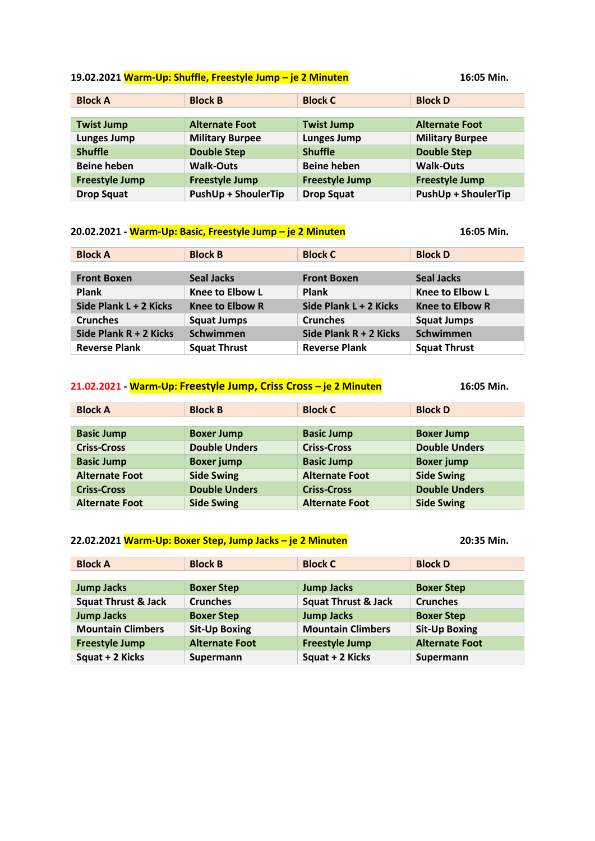#### **19.02.2021 Warm-Up: Shuffle, Freestyle Jump – je 2 Minuten 16:05 Min.**

| <b>Block A</b>        | <b>Block B</b>             | <b>Block C</b>        | <b>Block D</b>             |
|-----------------------|----------------------------|-----------------------|----------------------------|
|                       |                            |                       |                            |
| <b>Twist Jump</b>     | <b>Alternate Foot</b>      | <b>Twist Jump</b>     | <b>Alternate Foot</b>      |
| <b>Lunges Jump</b>    | <b>Military Burpee</b>     | <b>Lunges Jump</b>    | <b>Military Burpee</b>     |
| <b>Shuffle</b>        | <b>Double Step</b>         | <b>Shuffle</b>        | <b>Double Step</b>         |
| <b>Beine heben</b>    | <b>Walk-Outs</b>           | <b>Beine heben</b>    | <b>Walk-Outs</b>           |
| <b>Freestyle Jump</b> | <b>Freestyle Jump</b>      | <b>Freestyle Jump</b> | <b>Freestyle Jump</b>      |
| <b>Drop Squat</b>     | <b>PushUp + ShoulerTip</b> | <b>Drop Squat</b>     | <b>PushUp + ShoulerTip</b> |

#### **20.02.2021 - Warm-Up: Basic, Freestyle Jump – je 2 Minuten 16:05 Min.**

**Block A Block B Block C Block D Front Boxen Seal Jacks Front Boxen Seal Jacks Plank Knee to Elbow L Plank Knee to Elbow L Side Plank L + 2 Kicks Knee to Elbow R Side Plank L + 2 Kicks Knee to Elbow R Crunches Squat Jumps Crunches Squat Jumps Side Plank R + 2 Kicks Schwimmen Side Plank R + 2 Kicks Schwimmen Reverse Plank Squat Thrust Reverse Plank Squat Thrust**

**21.02.2021 - Warm-Up: Freestyle Jump, Criss Cross – je 2 Minuten 16:05 Min.**

| <b>Block A</b>        | <b>Block B</b>       | <b>Block C</b>        | <b>Block D</b>       |
|-----------------------|----------------------|-----------------------|----------------------|
|                       |                      |                       |                      |
| <b>Basic Jump</b>     | <b>Boxer Jump</b>    | <b>Basic Jump</b>     | <b>Boxer Jump</b>    |
| <b>Criss-Cross</b>    | <b>Double Unders</b> | <b>Criss-Cross</b>    | <b>Double Unders</b> |
| <b>Basic Jump</b>     | <b>Boxer jump</b>    | <b>Basic Jump</b>     | <b>Boxer jump</b>    |
| <b>Alternate Foot</b> | <b>Side Swing</b>    | <b>Alternate Foot</b> | <b>Side Swing</b>    |
| <b>Criss-Cross</b>    | <b>Double Unders</b> | <b>Criss-Cross</b>    | <b>Double Unders</b> |
| <b>Alternate Foot</b> | <b>Side Swing</b>    | <b>Alternate Foot</b> | <b>Side Swing</b>    |

| 22.02.2021 Warm-Up: Boxer Step, Jump Jacks – je 2 Minuten | 20:35 Min. |
|-----------------------------------------------------------|------------|
|-----------------------------------------------------------|------------|

| <b>Block A</b>                 | <b>Block B</b>        | <b>Block C</b>                 | <b>Block D</b>        |
|--------------------------------|-----------------------|--------------------------------|-----------------------|
|                                |                       |                                |                       |
| <b>Jump Jacks</b>              | <b>Boxer Step</b>     | <b>Jump Jacks</b>              | <b>Boxer Step</b>     |
| <b>Squat Thrust &amp; Jack</b> | <b>Crunches</b>       | <b>Squat Thrust &amp; Jack</b> | <b>Crunches</b>       |
| <b>Jump Jacks</b>              | <b>Boxer Step</b>     | <b>Jump Jacks</b>              | <b>Boxer Step</b>     |
| <b>Mountain Climbers</b>       | <b>Sit-Up Boxing</b>  | <b>Mountain Climbers</b>       | <b>Sit-Up Boxing</b>  |
| <b>Freestyle Jump</b>          | <b>Alternate Foot</b> | <b>Freestyle Jump</b>          | <b>Alternate Foot</b> |
| Squat + 2 Kicks                | Supermann             | Squat + 2 Kicks                | Supermann             |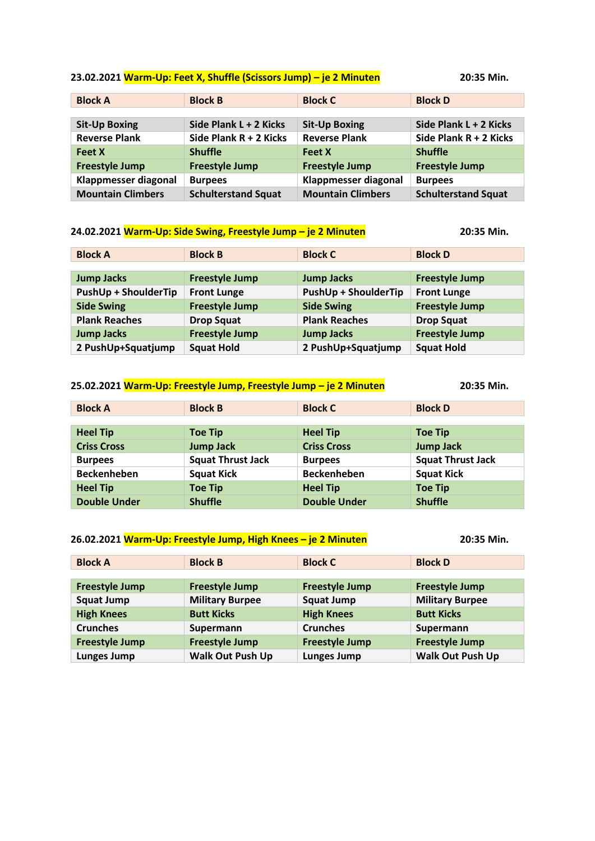# **23.02.2021 Warm-Up: Feet X, Shuffle (Scissors Jump) – je 2 Minuten 20:35 Min.**

| <b>Block A</b>           | <b>Block B</b>             | <b>Block C</b>           | <b>Block D</b>             |
|--------------------------|----------------------------|--------------------------|----------------------------|
|                          |                            |                          |                            |
| <b>Sit-Up Boxing</b>     | Side Plank L + 2 Kicks     | <b>Sit-Up Boxing</b>     | Side Plank L + 2 Kicks     |
| <b>Reverse Plank</b>     | Side Plank R + 2 Kicks     | <b>Reverse Plank</b>     | Side Plank R + 2 Kicks     |
| <b>Feet X</b>            | <b>Shuffle</b>             | <b>Feet X</b>            | <b>Shuffle</b>             |
| <b>Freestyle Jump</b>    | <b>Freestyle Jump</b>      | <b>Freestyle Jump</b>    | <b>Freestyle Jump</b>      |
| Klappmesser diagonal     | <b>Burpees</b>             | Klappmesser diagonal     | <b>Burpees</b>             |
| <b>Mountain Climbers</b> | <b>Schulterstand Squat</b> | <b>Mountain Climbers</b> | <b>Schulterstand Squat</b> |

| 24.02.2021 Warm-Up: Side Swing, Freestyle Jump - je 2 Minuten |                       |                             | 20:35 Min.            |
|---------------------------------------------------------------|-----------------------|-----------------------------|-----------------------|
| <b>Block A</b>                                                | <b>Block B</b>        | <b>Block C</b>              | <b>Block D</b>        |
|                                                               |                       |                             |                       |
| <b>Jump Jacks</b>                                             | <b>Freestyle Jump</b> | <b>Jump Jacks</b>           | <b>Freestyle Jump</b> |
| <b>PushUp + ShoulderTip</b>                                   | <b>Front Lunge</b>    | <b>PushUp + ShoulderTip</b> | <b>Front Lunge</b>    |
| <b>Side Swing</b>                                             | <b>Freestyle Jump</b> | <b>Side Swing</b>           | <b>Freestyle Jump</b> |
| <b>Plank Reaches</b>                                          | <b>Drop Squat</b>     | <b>Plank Reaches</b>        | <b>Drop Squat</b>     |
| <b>Jump Jacks</b>                                             | <b>Freestyle Jump</b> | <b>Jump Jacks</b>           | <b>Freestyle Jump</b> |
| 2 PushUp+Squatjump                                            | <b>Squat Hold</b>     | 2 PushUp+Squatjump          | <b>Squat Hold</b>     |

| 25.02.2021 Warm-Up: Freestyle Jump, Freestyle Jump - je 2 Minuten |                          |                     | 20:35 Min.               |
|-------------------------------------------------------------------|--------------------------|---------------------|--------------------------|
| <b>Block A</b>                                                    | <b>Block B</b>           | <b>Block C</b>      | <b>Block D</b>           |
|                                                                   |                          |                     |                          |
| <b>Heel Tip</b>                                                   | <b>Toe Tip</b>           | <b>Heel Tip</b>     | <b>Toe Tip</b>           |
| <b>Criss Cross</b>                                                | <b>Jump Jack</b>         | <b>Criss Cross</b>  | <b>Jump Jack</b>         |
| <b>Burpees</b>                                                    | <b>Squat Thrust Jack</b> | <b>Burpees</b>      | <b>Squat Thrust Jack</b> |
| <b>Beckenheben</b>                                                | <b>Squat Kick</b>        | <b>Beckenheben</b>  | <b>Squat Kick</b>        |
| <b>Heel Tip</b>                                                   | <b>Toe Tip</b>           | <b>Heel Tip</b>     | <b>Toe Tip</b>           |
| <b>Double Under</b>                                               | <b>Shuffle</b>           | <b>Double Under</b> | <b>Shuffle</b>           |

| 26.02.2021 Warm-Up: Freestyle Jump, High Knees - je 2 Minuten |                         |                       | 20:35 Min.              |
|---------------------------------------------------------------|-------------------------|-----------------------|-------------------------|
| <b>Block A</b>                                                | <b>Block B</b>          | <b>Block C</b>        | <b>Block D</b>          |
|                                                               |                         |                       |                         |
| <b>Freestyle Jump</b>                                         | <b>Freestyle Jump</b>   | <b>Freestyle Jump</b> | <b>Freestyle Jump</b>   |
| <b>Squat Jump</b>                                             | <b>Military Burpee</b>  | <b>Squat Jump</b>     | <b>Military Burpee</b>  |
| <b>High Knees</b>                                             | <b>Butt Kicks</b>       | <b>High Knees</b>     | <b>Butt Kicks</b>       |
| <b>Crunches</b>                                               | Supermann               | <b>Crunches</b>       | Supermann               |
| <b>Freestyle Jump</b>                                         | <b>Freestyle Jump</b>   | <b>Freestyle Jump</b> | <b>Freestyle Jump</b>   |
| <b>Lunges Jump</b>                                            | <b>Walk Out Push Up</b> | <b>Lunges Jump</b>    | <b>Walk Out Push Up</b> |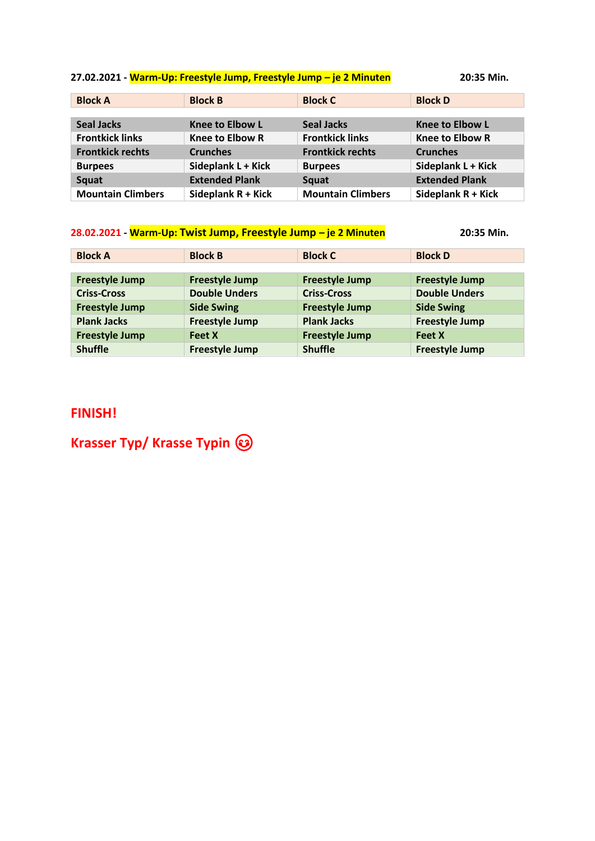# **27.02.2021 - Warm-Up: Freestyle Jump, Freestyle Jump – je 2 Minuten 20:35 Min.**

| <b>Block A</b>           | <b>Block B</b>         | <b>Block C</b>           | <b>Block D</b>         |
|--------------------------|------------------------|--------------------------|------------------------|
|                          |                        |                          |                        |
| <b>Seal Jacks</b>        | <b>Knee to Elbow L</b> | <b>Seal Jacks</b>        | <b>Knee to Elbow L</b> |
| <b>Frontkick links</b>   | <b>Knee to Elbow R</b> | <b>Frontkick links</b>   | <b>Knee to Elbow R</b> |
| <b>Frontkick rechts</b>  | <b>Crunches</b>        | <b>Frontkick rechts</b>  | <b>Crunches</b>        |
| <b>Burpees</b>           | Sideplank L + Kick     | <b>Burpees</b>           | Sideplank L + Kick     |
| Squat                    | <b>Extended Plank</b>  | Squat                    | <b>Extended Plank</b>  |
| <b>Mountain Climbers</b> | Sideplank R + Kick     | <b>Mountain Climbers</b> | Sideplank R + Kick     |

| 28.02.2021 - Warm-Up: Twist Jump, Freestyle Jump - je 2 Minuten |                       |                       | 20:35 Min.            |
|-----------------------------------------------------------------|-----------------------|-----------------------|-----------------------|
| <b>Block A</b>                                                  | <b>Block B</b>        | <b>Block C</b>        | <b>Block D</b>        |
|                                                                 |                       |                       |                       |
| <b>Freestyle Jump</b>                                           | <b>Freestyle Jump</b> | <b>Freestyle Jump</b> | <b>Freestyle Jump</b> |
| <b>Criss-Cross</b>                                              | <b>Double Unders</b>  | <b>Criss-Cross</b>    | <b>Double Unders</b>  |
| <b>Freestyle Jump</b>                                           | <b>Side Swing</b>     | <b>Freestyle Jump</b> | <b>Side Swing</b>     |
| <b>Plank Jacks</b>                                              | <b>Freestyle Jump</b> | <b>Plank Jacks</b>    | <b>Freestyle Jump</b> |
| <b>Freestyle Jump</b>                                           | <b>Feet X</b>         | <b>Freestyle Jump</b> | <b>Feet X</b>         |
| <b>Shuffle</b>                                                  | <b>Freestyle Jump</b> | <b>Shuffle</b>        | <b>Freestyle Jump</b> |

# **FINISH!**

**Krasser Typ/ Krasse Typin**